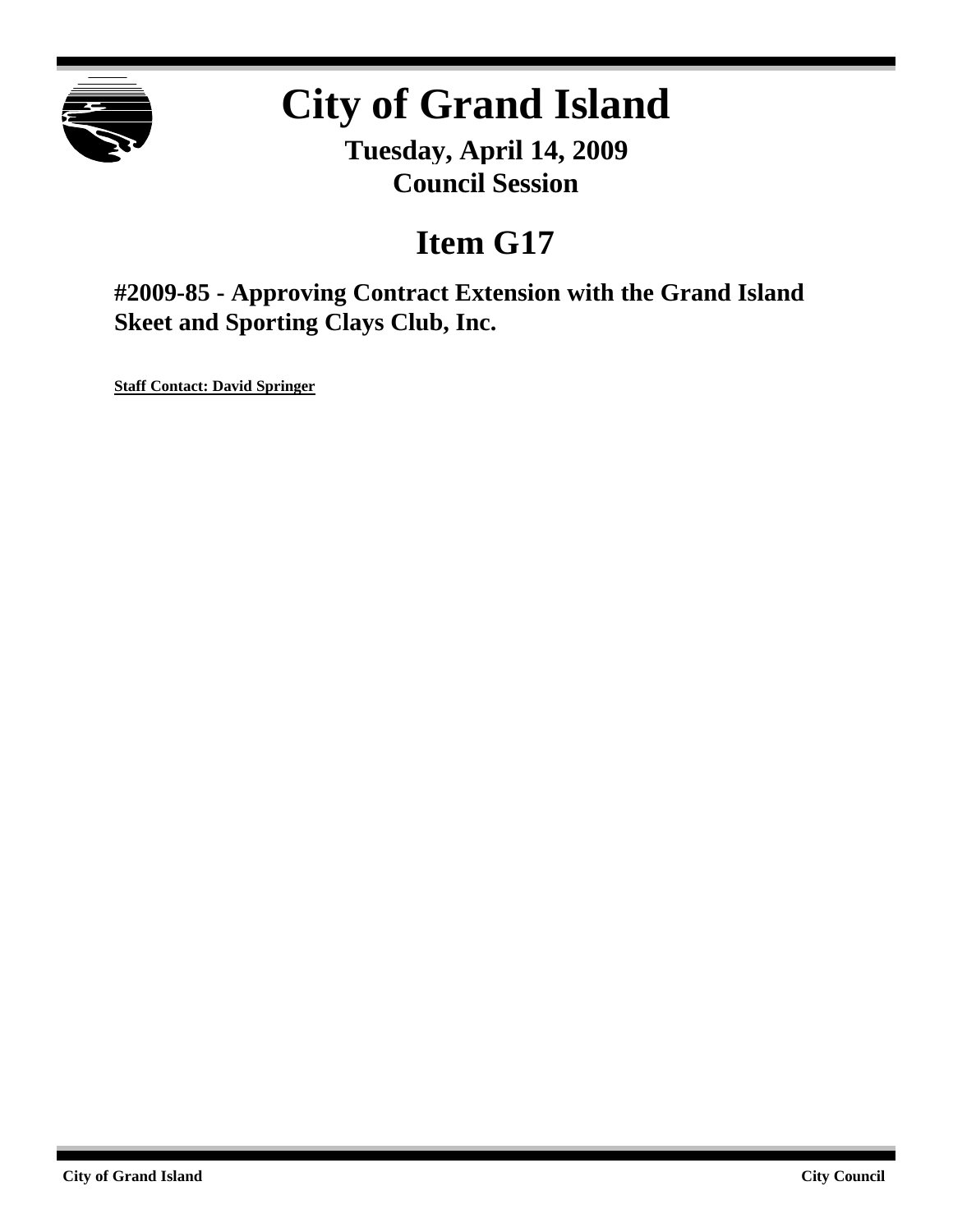

# **City of Grand Island**

**Tuesday, April 14, 2009 Council Session**

## **Item G17**

**#2009-85 - Approving Contract Extension with the Grand Island Skeet and Sporting Clays Club, Inc.**

**Staff Contact: David Springer**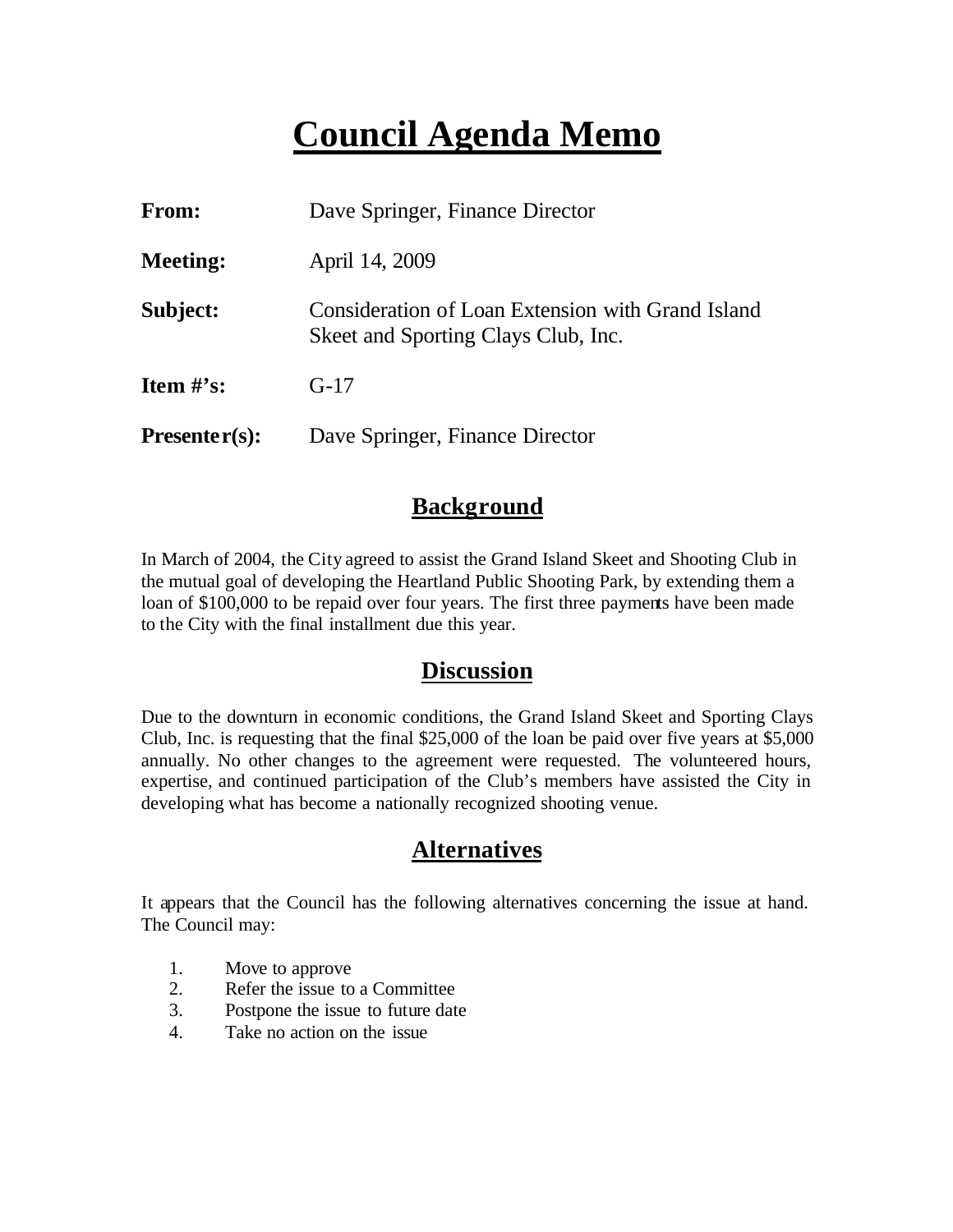## **Council Agenda Memo**

| From:           | Dave Springer, Finance Director                                                          |  |
|-----------------|------------------------------------------------------------------------------------------|--|
| <b>Meeting:</b> | April 14, 2009                                                                           |  |
| Subject:        | Consideration of Loan Extension with Grand Island<br>Skeet and Sporting Clays Club, Inc. |  |
| Item $\#$ 's:   | $G-17$                                                                                   |  |
| $Presenter(s):$ | Dave Springer, Finance Director                                                          |  |

### **Background**

In March of 2004, the City agreed to assist the Grand Island Skeet and Shooting Club in the mutual goal of developing the Heartland Public Shooting Park, by extending them a loan of \$100,000 to be repaid over four years. The first three payments have been made to the City with the final installment due this year.

#### **Discussion**

Due to the downturn in economic conditions, the Grand Island Skeet and Sporting Clays Club, Inc. is requesting that the final \$25,000 of the loan be paid over five years at \$5,000 annually. No other changes to the agreement were requested. The volunteered hours, expertise, and continued participation of the Club's members have assisted the City in developing what has become a nationally recognized shooting venue.

### **Alternatives**

It appears that the Council has the following alternatives concerning the issue at hand. The Council may:

- 1. Move to approve
- 2. Refer the issue to a Committee
- 3. Postpone the issue to future date
- 4. Take no action on the issue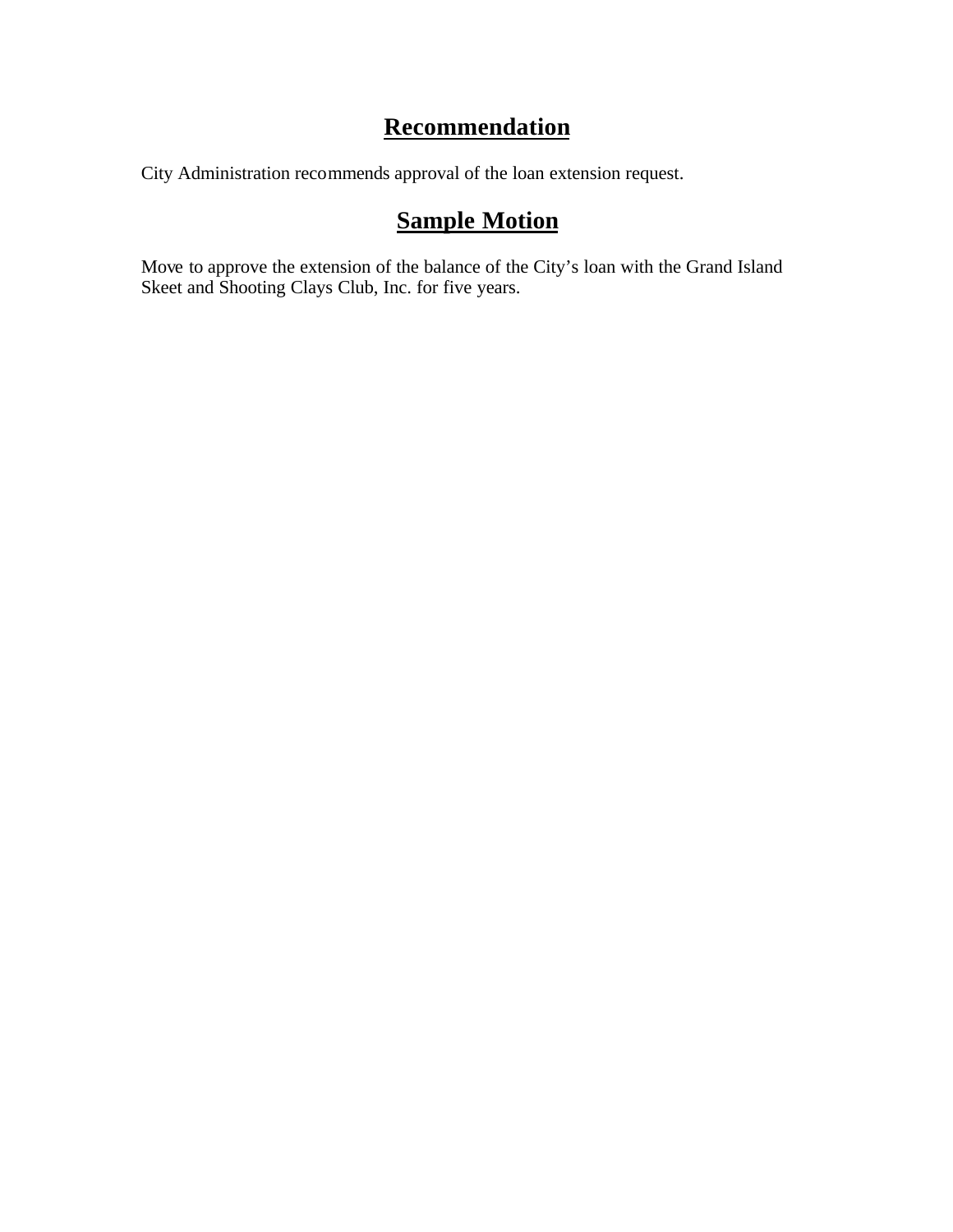## **Recommendation**

City Administration recommends approval of the loan extension request.

## **Sample Motion**

Move to approve the extension of the balance of the City's loan with the Grand Island Skeet and Shooting Clays Club, Inc. for five years.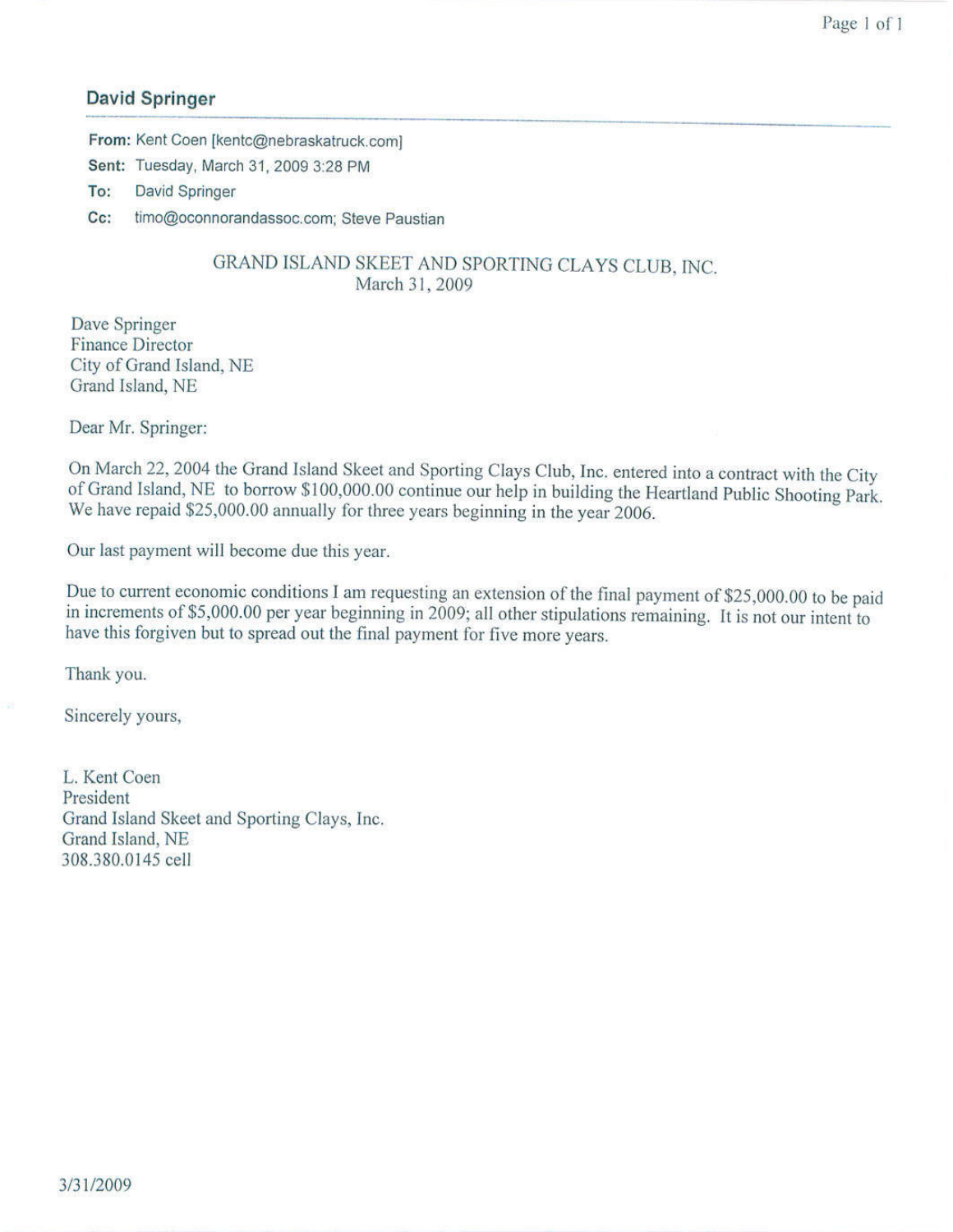#### **David Springer**

From: Kent Coen [kentc@nebraskatruck.com] Sent: Tuesday, March 31, 2009 3:28 PM **David Springer** To:

 $Cc$ : timo@oconnorandassoc.com; Steve Paustian

#### GRAND ISLAND SKEET AND SPORTING CLAYS CLUB, INC. March 31, 2009

Dave Springer **Finance Director** City of Grand Island, NE Grand Island, NE

Dear Mr. Springer:

On March 22, 2004 the Grand Island Skeet and Sporting Clays Club, Inc. entered into a contract with the City of Grand Island, NE to borrow \$100,000.00 continue our help in building the Heartland Public Shooting Park. We have repaid \$25,000.00 annually for three years beginning in the year 2006.

Our last payment will become due this year.

Due to current economic conditions I am requesting an extension of the final payment of \$25,000.00 to be paid in increments of \$5,000.00 per year beginning in 2009; all other stipulations remaining. It is not our intent to have this forgiven but to spread out the final payment for five more years.

Thank you.

Sincerely yours,

L. Kent Coen President Grand Island Skeet and Sporting Clays, Inc. Grand Island, NE 308.380.0145 cell